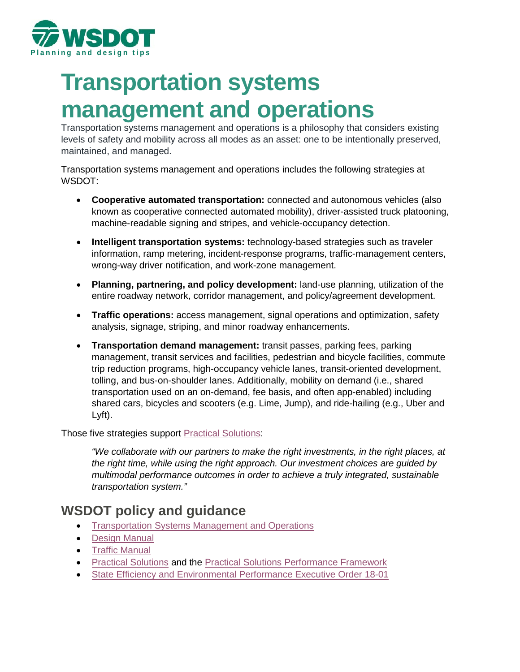

# **Transportation systems management and operations**

Transportation systems management and operations is a philosophy that considers existing levels of safety and mobility across all modes as an asset: one to be intentionally preserved, maintained, and managed.

Transportation systems management and operations includes the following strategies at WSDOT:

- **Cooperative automated transportation:** connected and autonomous vehicles (also known as cooperative connected automated mobility), driver-assisted truck platooning, machine-readable signing and stripes, and vehicle-occupancy detection.
- **Intelligent transportation systems:** technology-based strategies such as traveler information, ramp metering, incident-response programs, traffic-management centers, wrong-way driver notification, and work-zone management.
- **Planning, partnering, and policy development:** land-use planning, utilization of the entire roadway network, corridor management, and policy/agreement development.
- **Traffic operations:** access management, signal operations and optimization, safety analysis, signage, striping, and minor roadway enhancements.
- **Transportation demand management:** transit passes, parking fees, parking management, transit services and facilities, pedestrian and bicycle facilities, commute trip reduction programs, high-occupancy vehicle lanes, transit-oriented development, tolling, and bus-on-shoulder lanes. Additionally, mobility on demand (i.e., shared transportation used on an on-demand, fee basis, and often app-enabled) including shared cars, bicycles and scooters (e.g. Lime, Jump), and ride-hailing (e.g., Uber and Lyft).

Those five strategies support [Practical Solutions:](https://www.wsdot.wa.gov/about/secretary/strategic-plan/doc/strategic-plan-fact-sheet.pdf)

*"We collaborate with our partners to make the right investments, in the right places, at the right time, while using the right approach. Our investment choices are guided by multimodal performance outcomes in order to achieve a truly integrated, sustainable transportation system."* 

# **WSDOT policy and guidance**

- [Transportation Systems Management and Operations](https://tsmowa.org/)
- [Design Manual](http://www.wsdot.wa.gov/Publications/Manuals/M22-01.htm)
- [Traffic Manual](https://www.wsdot.wa.gov/Publications/Manuals/M51-02.htm)
- [Practical Solutions](https://www.wsdot.wa.gov/about/practical-solutions) and the [Practical Solutions Performance Framework](http://performanceframework.wsdot-sites.com/)
- [State Efficiency and Environmental Performance Executive Order 18-01](http://www.commerce.wa.gov/wp-content/uploads/2019/04/18-01-SEEP-Executive-Order.pdf)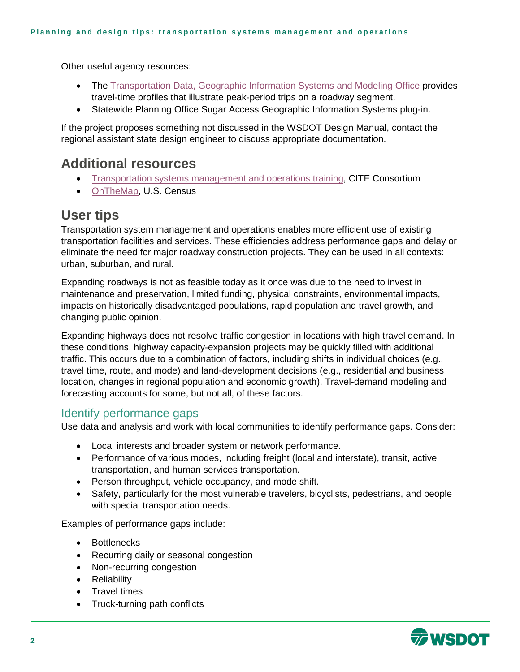Other useful agency resources:

- The [Transportation Data, Geographic Information Systems and Modeling Office](https://www.wsdot.wa.gov/mapsdata/tdgo_home.htm) provides travel-time profiles that illustrate peak-period trips on a roadway segment.
- Statewide Planning Office Sugar Access Geographic Information Systems plug-in.

If the project proposes something not discussed in the WSDOT Design Manual, contact the regional assistant state design engineer to discuss appropriate documentation.

# **Additional resources**

- [Transportation systems management and operations training,](https://www.citeconsortium.org/course/) CITE Consortium
- [OnTheMap,](https://onthemap.ces.census.gov/) U.S. Census

# **User tips**

Transportation system management and operations enables more efficient use of existing transportation facilities and services. These efficiencies address performance gaps and delay or eliminate the need for major roadway construction projects. They can be used in all contexts: urban, suburban, and rural.

Expanding roadways is not as feasible today as it once was due to the need to invest in maintenance and preservation, limited funding, physical constraints, environmental impacts, impacts on historically disadvantaged populations, rapid population and travel growth, and changing public opinion.

Expanding highways does not resolve traffic congestion in locations with high travel demand. In these conditions, highway capacity-expansion projects may be quickly filled with additional traffic. This occurs due to a combination of factors, including shifts in individual choices (e.g., travel time, route, and mode) and land-development decisions (e.g., residential and business location, changes in regional population and economic growth). Travel-demand modeling and forecasting accounts for some, but not all, of these factors.

### Identify performance gaps

Use data and analysis and work with local communities to identify performance gaps. Consider:

- Local interests and broader system or network performance.
- Performance of various modes, including freight (local and interstate), transit, active transportation, and human services transportation.
- Person throughput, vehicle occupancy, and mode shift.
- Safety, particularly for the most vulnerable travelers, bicyclists, pedestrians, and people with special transportation needs.

Examples of performance gaps include:

- Bottlenecks
- Recurring daily or seasonal congestion
- Non-recurring congestion
- Reliability
- Travel times
- Truck-turning path conflicts